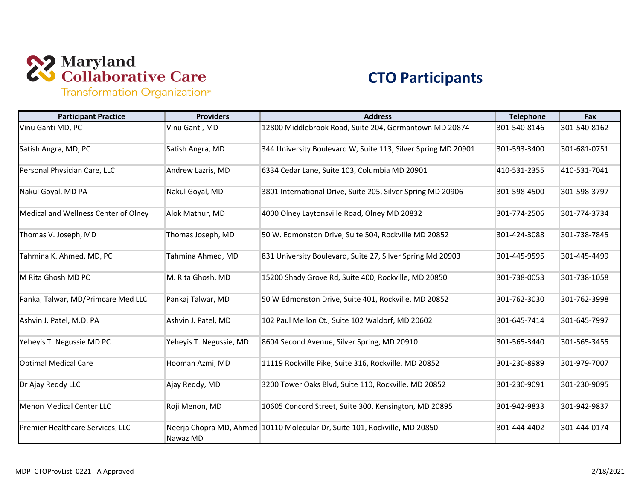# 22 Maryland<br>23 Collaborative Care

#### **CTO Participants**

Transformation Organization<sup>®</sup>

| <b>Participant Practice</b>          | <b>Providers</b>        | <b>Address</b>                                                             | <b>Telephone</b> | Fax          |
|--------------------------------------|-------------------------|----------------------------------------------------------------------------|------------------|--------------|
| Vinu Ganti MD, PC                    | Vinu Ganti, MD          | 12800 Middlebrook Road, Suite 204, Germantown MD 20874                     | 301-540-8146     | 301-540-8162 |
| Satish Angra, MD, PC                 | Satish Angra, MD        | 344 University Boulevard W, Suite 113, Silver Spring MD 20901              | 301-593-3400     | 301-681-0751 |
| Personal Physician Care, LLC         | Andrew Lazris, MD       | 6334 Cedar Lane, Suite 103, Columbia MD 20901                              | 410-531-2355     | 410-531-7041 |
| Nakul Goyal, MD PA                   | Nakul Goyal, MD         | 3801 International Drive, Suite 205, Silver Spring MD 20906                | 301-598-4500     | 301-598-3797 |
| Medical and Wellness Center of Olney | Alok Mathur, MD         | 4000 Olney Laytonsville Road, Olney MD 20832                               | 301-774-2506     | 301-774-3734 |
| Thomas V. Joseph, MD                 | Thomas Joseph, MD       | 50 W. Edmonston Drive, Suite 504, Rockville MD 20852                       | 301-424-3088     | 301-738-7845 |
| Tahmina K. Ahmed, MD, PC             | Tahmina Ahmed, MD       | 831 University Boulevard, Suite 27, Silver Spring Md 20903                 | 301-445-9595     | 301-445-4499 |
| M Rita Ghosh MD PC                   | M. Rita Ghosh, MD       | 15200 Shady Grove Rd, Suite 400, Rockville, MD 20850                       | 301-738-0053     | 301-738-1058 |
| Pankaj Talwar, MD/Primcare Med LLC   | Pankaj Talwar, MD       | 50 W Edmonston Drive, Suite 401, Rockville, MD 20852                       | 301-762-3030     | 301-762-3998 |
| Ashvin J. Patel, M.D. PA             | Ashvin J. Patel, MD     | 102 Paul Mellon Ct., Suite 102 Waldorf, MD 20602                           | 301-645-7414     | 301-645-7997 |
| Yeheyis T. Negussie MD PC            | Yeheyis T. Negussie, MD | 8604 Second Avenue, Silver Spring, MD 20910                                | 301-565-3440     | 301-565-3455 |
| <b>Optimal Medical Care</b>          | Hooman Azmi, MD         | 11119 Rockville Pike, Suite 316, Rockville, MD 20852                       | 301-230-8989     | 301-979-7007 |
| Dr Ajay Reddy LLC                    | Ajay Reddy, MD          | 3200 Tower Oaks Blvd, Suite 110, Rockville, MD 20852                       | 301-230-9091     | 301-230-9095 |
| <b>Menon Medical Center LLC</b>      | Roji Menon, MD          | 10605 Concord Street, Suite 300, Kensington, MD 20895                      | 301-942-9833     | 301-942-9837 |
| Premier Healthcare Services, LLC     | Nawaz MD                | Neerja Chopra MD, Ahmed 10110 Molecular Dr, Suite 101, Rockville, MD 20850 | 301-444-4402     | 301-444-0174 |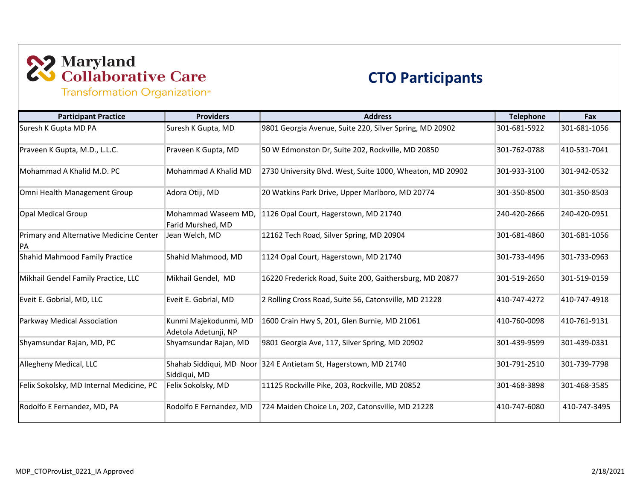## 22 Maryland<br>23 Collaborative Care

#### **CTO Participants**

Transformation Organization<sup>®</sup>

| <b>Participant Practice</b>                                 | <b>Providers</b>                              | <b>Address</b>                                                   | <b>Telephone</b> | Fax          |
|-------------------------------------------------------------|-----------------------------------------------|------------------------------------------------------------------|------------------|--------------|
| Suresh K Gupta MD PA                                        | Suresh K Gupta, MD                            | 9801 Georgia Avenue, Suite 220, Silver Spring, MD 20902          | 301-681-5922     | 301-681-1056 |
| Praveen K Gupta, M.D., L.L.C.                               | Praveen K Gupta, MD                           | 50 W Edmonston Dr, Suite 202, Rockville, MD 20850                | 301-762-0788     | 410-531-7041 |
| Mohammad A Khalid M.D. PC                                   | Mohammad A Khalid MD                          | 2730 University Blvd. West, Suite 1000, Wheaton, MD 20902        | 301-933-3100     | 301-942-0532 |
| Omni Health Management Group                                | Adora Otiji, MD                               | 20 Watkins Park Drive, Upper Marlboro, MD 20774                  | 301-350-8500     | 301-350-8503 |
| <b>Opal Medical Group</b>                                   | Mohammad Waseem MD,<br>Farid Murshed, MD      | 1126 Opal Court, Hagerstown, MD 21740                            | 240-420-2666     | 240-420-0951 |
| <b>Primary and Alternative Medicine Center</b><br><b>PA</b> | Jean Welch, MD                                | 12162 Tech Road, Silver Spring, MD 20904                         | 301-681-4860     | 301-681-1056 |
| Shahid Mahmood Family Practice                              | Shahid Mahmood, MD                            | 1124 Opal Court, Hagerstown, MD 21740                            | 301-733-4496     | 301-733-0963 |
| Mikhail Gendel Family Practice, LLC                         | Mikhail Gendel, MD                            | 16220 Frederick Road, Suite 200, Gaithersburg, MD 20877          | 301-519-2650     | 301-519-0159 |
| Eveit E. Gobrial, MD, LLC                                   | Eveit E. Gobrial, MD                          | 2 Rolling Cross Road, Suite 56, Catonsville, MD 21228            | 410-747-4272     | 410-747-4918 |
| Parkway Medical Association                                 | Kunmi Majekodunmi, MD<br>Adetola Adetunji, NP | 1600 Crain Hwy S, 201, Glen Burnie, MD 21061                     | 410-760-0098     | 410-761-9131 |
| Shyamsundar Rajan, MD, PC                                   | Shyamsundar Rajan, MD                         | 9801 Georgia Ave, 117, Silver Spring, MD 20902                   | 301-439-9599     | 301-439-0331 |
| Allegheny Medical, LLC                                      | Siddiqui, MD                                  | Shahab Siddiqui, MD Noor 324 E Antietam St, Hagerstown, MD 21740 | 301-791-2510     | 301-739-7798 |
| Felix Sokolsky, MD Internal Medicine, PC                    | Felix Sokolsky, MD                            | 11125 Rockville Pike, 203, Rockville, MD 20852                   | 301-468-3898     | 301-468-3585 |
| Rodolfo E Fernandez, MD, PA                                 | Rodolfo E Fernandez, MD                       | 724 Maiden Choice Ln, 202, Catonsville, MD 21228                 | 410-747-6080     | 410-747-3495 |